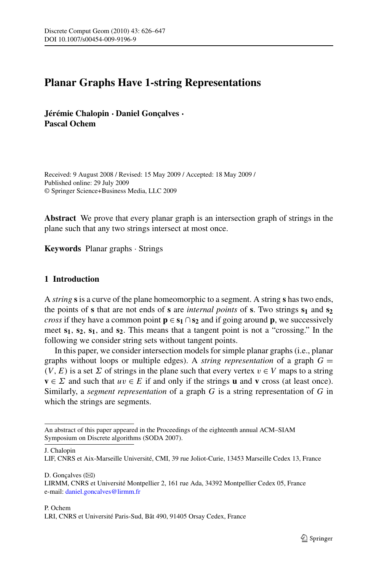# **Planar Graphs Have 1-string Representations**

**Jérémie Chalopin** · **Daniel Gonçalves** · **Pascal Ochem**

Received: 9 August 2008 / Revised: 15 May 2009 / Accepted: 18 May 2009 / Published online: 29 July 2009 © Springer Science+Business Media, LLC 2009

**Abstract** We prove that every planar graph is an intersection graph of strings in the plane such that any two strings intersect at most once.

**Keywords** Planar graphs · Strings

## **1 Introduction**

A *string* **s** is a curve of the plane homeomorphic to a segment. A string **s** has two ends, the points of **s** that are not ends of **s** are *internal points* of **s**. Two strings  $s_1$  and  $s_2$ *cross* if they have a common point  $p \in s_1 \cap s_2$  and if going around p, we successively meet  $s_1$ ,  $s_2$ ,  $s_1$ , and  $s_2$ . This means that a tangent point is not a "crossing." In the following we consider string sets without tangent points.

In this paper, we consider intersection models for simple planar graphs (i.e., planar graphs without loops or multiple edges). A *string representation* of a graph  $G =$  $(V, E)$  is a set  $\Sigma$  of strings in the plane such that every vertex  $v \in V$  maps to a string **v** ∈  $\Sigma$  and such that  $uv \in E$  if and only if the strings **u** and **v** cross (at least once). Similarly, a *segment representation* of a graph G is a string representation of G in which the strings are segments.

J. Chalopin

LIF, CNRS et Aix-Marseille Université, CMI, 39 rue Joliot-Curie, 13453 Marseille Cedex 13, France

D. Gonçalves  $(\boxtimes)$ 

An abstract of this paper appeared in the Proceedings of the eighteenth annual ACM–SIAM Symposium on Discrete algorithms (SODA 2007).

LIRMM, CNRS et Université Montpellier 2, 161 rue Ada, 34392 Montpellier Cedex 05, France e-mail: [daniel.goncalves@lirmm.fr](mailto:daniel.goncalves@lirmm.fr)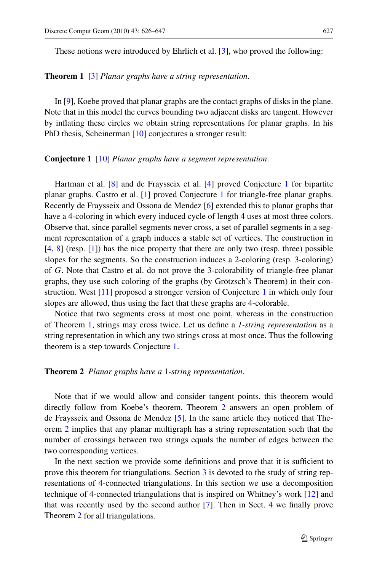#### **Theorem 1** [\[3](#page-21-0)] *Planar graphs have a string representation*.

In [\[9](#page-21-0)], Koebe proved that planar graphs are the contact graphs of disks in the plane. Note that in this model the curves bounding two adjacent disks are tangent. However by inflating these circles we obtain string representations for planar graphs. In his PhD thesis, Scheinerman [[10](#page-21-0)] conjectures a stronger result:

## **Conjecture 1** [[10\]](#page-21-0) *Planar graphs have a segment representation*.

Hartman et al. [[8\]](#page-21-0) and de Fraysseix et al. [\[4](#page-21-0)] proved Conjecture [1](#page-1-0) for bipartite planar graphs. Castro et al. [[1\]](#page-21-0) proved Conjecture [1](#page-1-0) for triangle-free planar graphs. Recently de Fraysseix and Ossona de Mendez [[6\]](#page-21-0) extended this to planar graphs that have a 4-coloring in which every induced cycle of length 4 uses at most three colors. Observe that, since parallel segments never cross, a set of parallel segments in a segment representation of a graph induces a stable set of vertices. The construction in [\[4](#page-21-0), [8\]](#page-21-0) (resp. [[1\]](#page-21-0)) has the nice property that there are only two (resp. three) possible slopes for the segments. So the construction induces a 2-coloring (resp. 3-coloring) of G. Note that Castro et al. do not prove the 3-colorability of triangle-free planar graphs, they use such coloring of the graphs (by Grötzsch's Theorem) in their construction. West [[11\]](#page-21-0) proposed a stronger version of Conjecture [1](#page-1-0) in which only four slopes are allowed, thus using the fact that these graphs are 4-colorable.

Notice that two segments cross at most one point, whereas in the construction of Theorem [1](#page-1-0), strings may cross twice. Let us define a *1-string representation* as a string representation in which any two strings cross at most once. Thus the following theorem is a step towards Conjecture [1](#page-1-0).

## **Theorem 2** *Planar graphs have a* 1*-string representation*.

Note that if we would allow and consider tangent points, this theorem would directly follow from Koebe's theorem. Theorem [2](#page-1-0) answers an open problem of de Fraysseix and Ossona de Mendez [[5\]](#page-21-0). In the same article they noticed that Theorem [2](#page-1-0) implies that any planar multigraph has a string representation such that the number of crossings between two strings equals the number of edges between the two corresponding vertices.

<span id="page-1-0"></span>In the next section we provide some definitions and prove that it is sufficient to prove this theorem for triangulations. Section [3](#page-4-0) is devoted to the study of string representations of 4-connected triangulations. In this section we use a decomposition technique of 4-connected triangulations that is inspired on Whitney's work [\[12](#page-21-0)] and that was recently used by the second author [\[7](#page-21-0)]. Then in Sect. [4](#page-18-0) we finally prove Theorem [2](#page-1-0) for all triangulations.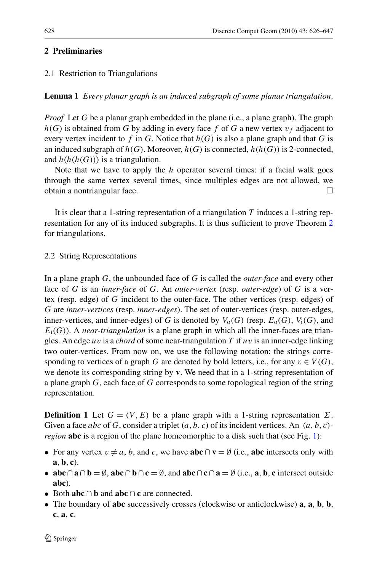## **2 Preliminaries**

# 2.1 Restriction to Triangulations

## **Lemma 1** *Every planar graph is an induced subgraph of some planar triangulation*.

*Proof* Let G be a planar graph embedded in the plane (i.e., a plane graph). The graph  $h(G)$  is obtained from G by adding in every face f of G a new vertex  $v_f$  adjacent to every vertex incident to f in G. Notice that  $h(G)$  is also a plane graph and that G is an induced subgraph of  $h(G)$ . Moreover,  $h(G)$  is connected,  $h(h(G))$  is 2-connected, and  $h(h(h(G)))$  is a triangulation.

Note that we have to apply the  $h$  operator several times: if a facial walk goes through the same vertex several times, since multiples edges are not allowed, we obtain a nontriangular face.

It is clear that a 1-string representation of a triangulation  $T$  induces a 1-string representation for any of its induced subgraphs. It is thus sufficient to prove Theorem [2](#page-1-0) for triangulations.

## 2.2 String Representations

In a plane graph G, the unbounded face of G is called the *outer-face* and every other face of G is an *inner-face* of G. An *outer-vertex* (resp. *outer-edge*) of G is a vertex (resp. edge) of G incident to the outer-face. The other vertices (resp. edges) of G are *inner-vertices* (resp. *inner-edges*). The set of outer-vertices (resp. outer-edges, inner-vertices, and inner-edges) of G is denoted by  $V_0(G)$  (resp.  $E_0(G)$ ,  $V_i(G)$ , and  $E_i(G)$ ). A *near-triangulation* is a plane graph in which all the inner-faces are triangles. An edge uv is a *chord* of some near-triangulation  $T$  if uv is an inner-edge linking two outer-vertices. From now on, we use the following notation: the strings corresponding to vertices of a graph G are denoted by bold letters, i.e., for any  $v \in V(G)$ , we denote its corresponding string by **v**. We need that in a 1-string representation of a plane graph G, each face of G corresponds to some topological region of the string representation.

**Definition 1** Let  $G = (V, E)$  be a plane graph with a 1-string representation  $\Sigma$ . Given a face *abc* of G, consider a triplet  $(a, b, c)$  of its incident vertices. An  $(a, b, c)$ *region* **abc** is a region of the plane homeomorphic to a disk such that (see Fig. [1\)](#page-3-0):

- For any vertex  $v \neq a$ , b, and c, we have **abc**  $\cap$  **v** =  $\emptyset$  (i.e., **abc** intersects only with **a**,**b**, **c**).
- **abc** $\cap$ **a** $\cap$ **b** =  $\emptyset$ , **abc** $\cap$ **b** $\cap$ **c** =  $\emptyset$ , and **abc** $\cap$ **c** $\cap$ **a** =  $\emptyset$  (i.e., **a**, **b**, **c** intersect outside **abc**).
- Both **abc** ∩ **b** and **abc** ∩ **c** are connected.
- The boundary of **abc** successively crosses (clockwise or anticlockwise) **a**, **a**, **b**, **b**, **c**, **a**, **c**.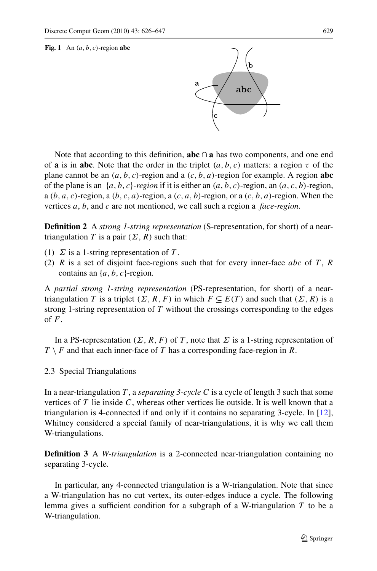#### **Fig. 1** An  $(a, b, c)$ -region **abc**



Note that according to this definition, **abc** ∩ **a** has two components, and one end of **a** is in **abc**. Note that the order in the triplet  $(a, b, c)$  matters: a region  $\tau$  of the plane cannot be an  $(a, b, c)$ -region and a  $(c, b, a)$ -region for example. A region **abc** of the plane is an  $\{a, b, c\}$ -region if it is either an  $(a, b, c)$ -region, an  $(a, c, b)$ -region, a  $(b, a, c)$ -region, a  $(b, c, a)$ -region, a  $(c, a, b)$ -region, or a  $(c, b, a)$ -region. When the vertices a, b, and c are not mentioned, we call such a region a *face-region*.

**Definition 2** A *strong 1-string representation* (S-representation, for short) of a neartriangulation T is a pair  $(\Sigma, R)$  such that:

- (1)  $\Sigma$  is a 1-string representation of T.
- (2) R is a set of disjoint face-regions such that for every inner-face abc of T, R contains an  $\{a, b, c\}$ -region.

A *partial strong 1-string representation* (PS-representation, for short) of a neartriangulation T is a triplet  $(\Sigma, R, F)$  in which  $F \subseteq E(T)$  and such that  $(\Sigma, R)$  is a strong 1-string representation of T without the crossings corresponding to the edges of  $F$ .

In a PS-representation ( $\Sigma$ , R, F) of T, note that  $\Sigma$  is a 1-string representation of  $T \setminus F$  and that each inner-face of T has a corresponding face-region in R.

2.3 Special Triangulations

In a near-triangulation T , a *separating 3-cycle* C is a cycle of length 3 such that some vertices of  $T$  lie inside  $C$ , whereas other vertices lie outside. It is well known that a triangulation is 4-connected if and only if it contains no separating 3-cycle. In [[12\]](#page-21-0), Whitney considered a special family of near-triangulations, it is why we call them W-triangulations.

**Definition 3** A *W-triangulation* is a 2-connected near-triangulation containing no separating 3-cycle.

<span id="page-3-0"></span>In particular, any 4-connected triangulation is a W-triangulation. Note that since a W-triangulation has no cut vertex, its outer-edges induce a cycle. The following lemma gives a sufficient condition for a subgraph of a W-triangulation T to be a W-triangulation.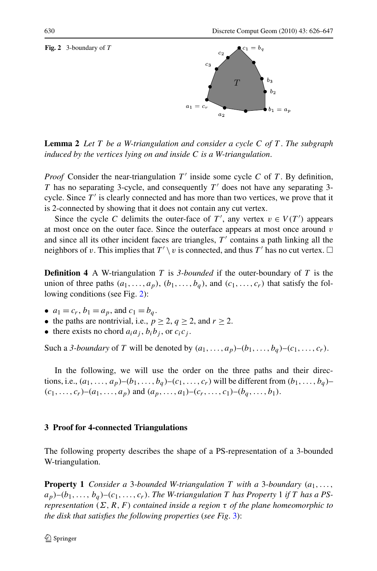**Fig. 2** 3-boundary of T



**Lemma 2** *Let* T *be a W-triangulation and consider a cycle* C *of* T . *The subgraph induced by the vertices lying on and inside* C *is a W-triangulation*.

*Proof* Consider the near-triangulation  $T'$  inside some cycle C of T. By definition, T has no separating 3-cycle, and consequently  $T'$  does not have any separating 3cycle. Since  $T'$  is clearly connected and has more than two vertices, we prove that it is 2-connected by showing that it does not contain any cut vertex.

Since the cycle C delimits the outer-face of T', any vertex  $v \in V(T')$  appears at most once on the outer face. Since the outerface appears at most once around  $v$ and since all its other incident faces are triangles,  $T'$  contains a path linking all the neighbors of v. This implies that  $T' \setminus v$  is connected, and thus T' has no cut vertex.  $\Box$ 

**Definition 4** A W-triangulation T is 3-bounded if the outer-boundary of T is the union of three paths  $(a_1, \ldots, a_p)$ ,  $(b_1, \ldots, b_q)$ , and  $(c_1, \ldots, c_r)$  that satisfy the following conditions (see Fig. [2\)](#page-4-0):

- $a_1 = c_r$ ,  $b_1 = a_p$ , and  $c_1 = b_q$ .
- the paths are nontrivial, i.e.,  $p \ge 2$ ,  $q \ge 2$ , and  $r \ge 2$ .
- there exists no chord  $a_i a_j$ ,  $b_i b_j$ , or  $c_i c_j$ .

Such a *3-boundary* of T will be denoted by  $(a_1, \ldots, a_p)$ – $(b_1, \ldots, b_q)$ – $(c_1, \ldots, c_r)$ .

In the following, we will use the order on the three paths and their directions, i.e.,  $(a_1, \ldots, a_p)$ – $(b_1, \ldots, b_q)$ – $(c_1, \ldots, c_r)$  will be different from  $(b_1, \ldots, b_q)$ –  $(c_1, \ldots, c_r)$ – $(a_1, \ldots, a_p)$  and  $(a_p, \ldots, a_1)$ – $(c_r, \ldots, c_1)$ – $(b_q, \ldots, b_1)$ .

## **3 Proof for 4-connected Triangulations**

The following property describes the shape of a PS-representation of a 3-bounded W-triangulation.

<span id="page-4-0"></span>**Property 1** *Consider a* 3*-bounded W-triangulation T with a* 3*-boundary*  $(a_1, \ldots, a_n)$  $a_p$ )– $(b_1, \ldots, b_q)$ – $(c_1, \ldots, c_r)$ . *The W-triangulation T has Property* 1 *if T has a PSrepresentation*  $(\Sigma, R, F)$  *contained inside a region*  $\tau$  *of the plane homeomorphic to the disk that satisfies the following properties* (*see Fig*. [3](#page-5-0)):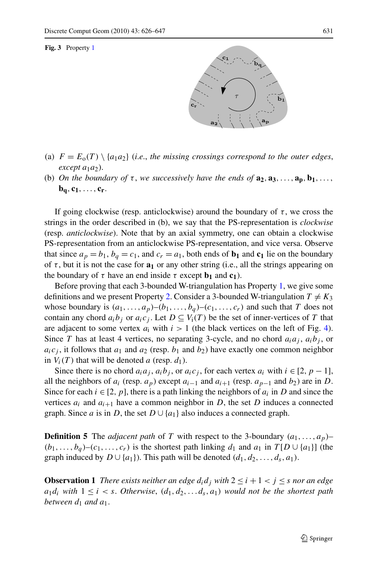**Fig. 3** Property [1](#page-4-0)



- (a)  $F = E_0(T) \setminus \{a_1 a_2\}$  (*i.e.*, *the missing crossings correspond to the outer edges,*  $except a<sub>1</sub>a<sub>2</sub>$ ).
- (b) *On the boundary of*  $\tau$ , *we successively have the ends of*  $\mathbf{a}_2, \mathbf{a}_3, \ldots, \mathbf{a}_n, \mathbf{b}_1, \ldots$  $$

If going clockwise (resp. anticlockwise) around the boundary of  $\tau$ , we cross the strings in the order described in (b), we say that the PS-representation is *clockwise* (resp. *anticlockwise*). Note that by an axial symmetry, one can obtain a clockwise PS-representation from an anticlockwise PS-representation, and vice versa. Observe that since  $a_p = b_1$ ,  $b_q = c_1$ , and  $c_r = a_1$ , both ends of  $\mathbf{b}_1$  and  $\mathbf{c}_1$  lie on the boundary of  $\tau$ , but it is not the case for  $\mathbf{a}_1$  or any other string (i.e., all the strings appearing on the boundary of  $\tau$  have an end inside  $\tau$  except  $\mathbf{b}_1$  and  $\mathbf{c}_1$ ).

Before proving that each 3-bounded W-triangulation has Property [1](#page-4-0), we give some definitions and we present Property [2](#page-6-0). Consider a 3-bounded W-triangulation  $T \neq K_3$ whose boundary is  $(a_1, \ldots, a_p)$ – $(b_1, \ldots, b_q)$ – $(c_1, \ldots, c_r)$  and such that T does not contain any chord  $a_i b_j$  or  $a_i c_j$ . Let  $D \subseteq V_i(T)$  be the set of inner-vertices of T that are adjacent to some vertex  $a_i$  with  $i > 1$  (the black vertices on the left of Fig. [4\)](#page-6-0). Since T has at least 4 vertices, no separating 3-cycle, and no chord  $a_i a_j$ ,  $a_i b_j$ , or  $a_i c_j$ , it follows that  $a_1$  and  $a_2$  (resp.  $b_1$  and  $b_2$ ) have exactly one common neighbor in  $V_i(T)$  that will be denoted a (resp.  $d_1$ ).

Since there is no chord  $a_i a_j$ ,  $a_i b_j$ , or  $a_i c_j$ , for each vertex  $a_i$  with  $i \in [2, p - 1]$ , all the neighbors of  $a_i$  (resp.  $a_p$ ) except  $a_{i-1}$  and  $a_{i+1}$  (resp.  $a_{p-1}$  and  $b_2$ ) are in D. Since for each  $i \in [2, p]$ , there is a path linking the neighbors of  $a_i$  in D and since the vertices  $a_i$  and  $a_{i+1}$  have a common neighbor in D, the set D induces a connected graph. Since *a* is in *D*, the set  $D \cup \{a_1\}$  also induces a connected graph.

**Definition 5** The *adjacent path* of T with respect to the 3-boundary  $(a_1, \ldots, a_p)$ –  $(b_1,\ldots,b_q)$ – $(c_1,\ldots,c_r)$  is the shortest path linking  $d_1$  and  $a_1$  in  $T[D\cup\{a_1\}]$  (the graph induced by  $D \cup \{a_1\}$ . This path will be denoted  $(d_1, d_2, \ldots, d_s, a_1)$ .

<span id="page-5-0"></span>**Observation 1** *There exists neither an edge*  $d_i d_j$  *with*  $2 \le i + 1 < j \le s$  *nor an edge*  $a_1d_i$  with  $1 \leq i < s$ . Otherwise,  $(d_1, d_2, \ldots, d_s, a_1)$  would not be the shortest path *between*  $d_1$  *and*  $a_1$ *.*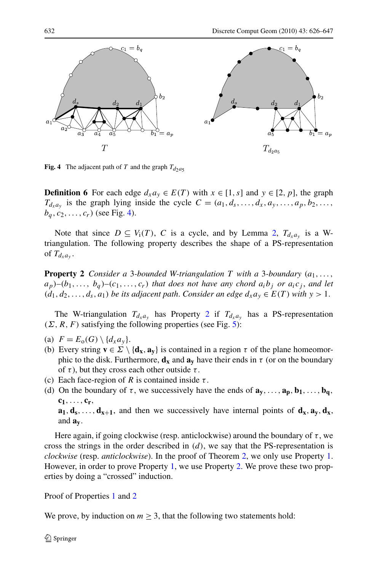

**Fig. 4** The adjacent path of T and the graph  $T_{d2}$ <sub>as</sub>

**Definition 6** For each edge  $d_x a_y \in E(T)$  with  $x \in [1, s]$  and  $y \in [2, p]$ , the graph  $T_{d_x a_y}$  is the graph lying inside the cycle  $C = (a_1, d_s, \ldots, d_x, a_y, \ldots, a_p, b_2, \ldots, b_n)$  $b_q, c_2, \ldots, c_r$ ) (see Fig. [4](#page-6-0)).

Note that since  $D \subseteq V_i(T)$ , C is a cycle, and by Lemma [2](#page-4-0),  $T_{d_x a_y}$  is a Wtriangulation. The following property describes the shape of a PS-representation of  $T_{d_{x}a_{y}}$ .

**Property 2** *Consider a* 3*-bounded W-triangulation T with* a 3*-boundary*  $(a_1, \ldots, a_n)$  $a_p$ )– $(b_1, \ldots, b_q)$ – $(c_1, \ldots, c_r)$  *that does not have any chord a<sub>i</sub>b<sub>i</sub> or*  $a_i c_j$ *, and let*  $(d_1, d_2, \ldots, d_s, a_1)$  *be its adjacent path. Consider an edge*  $d_x a_y \in E(T)$  *with*  $y > 1$ .

The W-triangulation  $T_{d_x a_y}$  has Property [2](#page-6-0) if  $T_{d_x a_y}$  has a PS-representation  $(\Sigma, R, F)$  satisfying the following properties (see Fig. [5\)](#page-7-0):

- (a)  $F = E<sub>0</sub>(G) \setminus \{d_x a_y\}.$
- (b) Every string  $\mathbf{v} \in \Sigma \setminus \{ \mathbf{d}_x, \mathbf{a}_y \}$  is contained in a region  $\tau$  of the plane homeomorphic to the disk. Furthermore,  $\mathbf{d}_{\mathbf{x}}$  and  $\mathbf{a}_{\mathbf{v}}$  have their ends in  $\tau$  (or on the boundary of  $\tau$ ), but they cross each other outside  $\tau$ .
- (c) Each face-region of R is contained inside  $\tau$ .
- (d) On the boundary of  $\tau$ , we successively have the ends of  $\mathbf{a}_v, \ldots, \mathbf{a}_p, \mathbf{b}_1, \ldots, \mathbf{b}_q$ , **c1**,..., **cr**,  $\mathbf{a}_1, \mathbf{d}_s, \ldots, \mathbf{d}_{x+1}$ , and then we successively have internal points of  $\mathbf{d}_x, \mathbf{a}_y, \mathbf{d}_x$ , and **ay**.

Here again, if going clockwise (resp. anticlockwise) around the boundary of  $\tau$ , we cross the strings in the order described in  $(d)$ , we say that the PS-representation is *clockwise* (resp. *anticlockwise*). In the proof of Theorem [2](#page-1-0), we only use Property [1](#page-4-0). However, in order to prove Property [1,](#page-4-0) we use Property [2.](#page-6-0) We prove these two properties by doing a "crossed" induction.

#### Proof of Properties [1](#page-4-0) and [2](#page-6-0)

<span id="page-6-0"></span>We prove, by induction on  $m \geq 3$ , that the following two statements hold: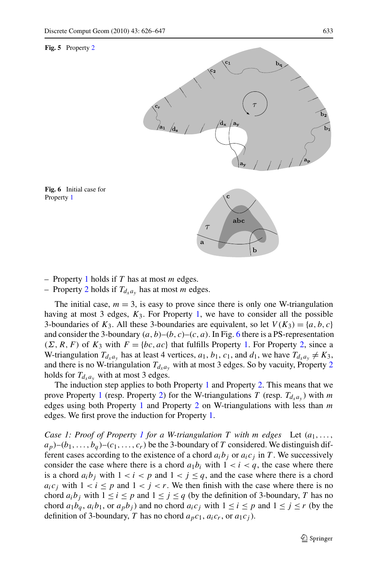#### **Fig. 5** Property [2](#page-6-0)





– Property [2](#page-6-0) holds if  $T_{d_x a_y}$  has at most *m* edges.

The initial case,  $m = 3$ , is easy to prove since there is only one W-triangulation having at most 3 edges,  $K_3$ . For Property [1](#page-4-0), we have to consider all the possible 3-boundaries of  $K_3$ . All these 3-boundaries are equivalent, so let  $V(K_3) = \{a, b, c\}$ and consider the 3-boundary  $(a, b)$ – $(b, c)$ – $(c, a)$ . In Fig. [6](#page-7-0) there is a PS-representation  $(\Sigma, R, F)$  of  $K_3$  with  $F = \{bc, ac\}$  that fulfills Property [1](#page-4-0). For Property [2,](#page-6-0) since a W-triangulation  $T_{d_x a_y}$  has at least 4 vertices,  $a_1, b_1, c_1$ , and  $d_1$ , we have  $T_{d_x a_y} \neq K_3$ , and there is no W-triangulation  $T_{d_x a_y}$  with at most 3 edges. So by vacuity, Property [2](#page-6-0) holds for  $T_{d_x a_y}$  with at most 3 edges.

The induction step applies to both Property [1](#page-4-0) and Property [2.](#page-6-0) This means that we prove Property [1](#page-4-0) (resp. Property [2](#page-6-0)) for the W-triangulations T (resp.  $T_{d_x a_y}$ ) with m edges using both Property [1](#page-4-0) and Property [2](#page-6-0) on W-triangulations with less than  $m$ edges. We first prove the induction for Property [1.](#page-4-0)

<span id="page-7-0"></span>*Case [1](#page-4-0): Proof of Property 1 for a W-triangulation*  $T$  *with*  $m$  *edges* Let  $(a_1, \ldots, a_n)$  $a_p$ )–( $b_1, \ldots, b_q$ )–( $c_1, \ldots, c_r$ ) be the 3-boundary of T considered. We distinguish different cases according to the existence of a chord  $a_i b_j$  or  $a_i c_j$  in T. We successively consider the case where there is a chord  $a_1b_i$  with  $1 < i < q$ , the case where there is a chord  $a_i b_j$  with  $1 < i < p$  and  $1 < j \le q$ , and the case where there is a chord  $a_i c_j$  with  $1 < i \leq p$  and  $1 < j < r$ . We then finish with the case where there is no chord  $a_i b_j$  with  $1 \le i \le p$  and  $1 \le j \le q$  (by the definition of 3-boundary, T has no chord  $a_1b_q$ ,  $a_ib_1$ , or  $a_pb_j$ ) and no chord  $a_ic_j$  with  $1 \le i \le p$  and  $1 \le j \le r$  (by the definition of 3-boundary, T has no chord  $a_p c_1$ ,  $a_i c_r$ , or  $a_1 c_i$ ).

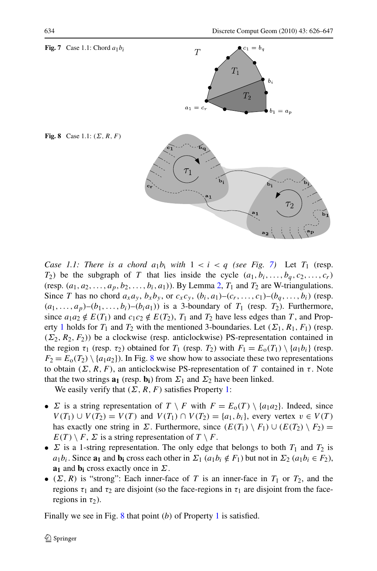

*Case 1.1: There is a chord*  $a_1b_1$  *with*  $1 < i < q$  *(see Fig.* [7](#page-8-0)) Let  $T_1$  (resp.  $T_2$ ) be the subgraph of T that lies inside the cycle  $(a_1, b_1, \ldots, b_q, c_2, \ldots, c_r)$ (resp.  $(a_1, a_2, \ldots, a_p, b_2, \ldots, b_i, a_1)$  $(a_1, a_2, \ldots, a_p, b_2, \ldots, b_i, a_1)$  $(a_1, a_2, \ldots, a_p, b_2, \ldots, b_i, a_1)$ ). By Lemma 2,  $T_1$  and  $T_2$  are W-triangulations. Since T has no chord  $a_x a_y$ ,  $b_x b_y$ , or  $c_x c_y$ ,  $(b_i, a_1)$ – $(c_r, \ldots, c_1)$ – $(b_q, \ldots, b_i)$  (resp.  $(a_1,\ldots,a_p)-(b_1,\ldots,b_i)-(b_ia_1)$  is a 3-boundary of  $T_1$  (resp.  $T_2$ ). Furthermore, since  $a_1a_2 \notin E(T_1)$  and  $c_1c_2 \notin E(T_2)$ ,  $T_1$  and  $T_2$  have less edges than T, and Prop-erty [1](#page-4-0) holds for  $T_1$  and  $T_2$  with the mentioned 3-boundaries. Let  $(\Sigma_1, R_1, F_1)$  (resp.  $(\Sigma_2, R_2, F_2)$ ) be a clockwise (resp. anticlockwise) PS-representation contained in the region  $\tau_1$  (resp.  $\tau_2$ ) obtained for  $T_1$  (resp.  $T_2$ ) with  $F_1 = E_0(T_1) \setminus \{a_1b_i\}$  (resp.  $F_2 = E_0(T_2) \setminus \{a_1a_2\}$ . In Fig. [8](#page-8-0) we show how to associate these two representations to obtain  $(\Sigma, R, F)$ , an anticlockwise PS-representation of T contained in τ. Note that the two strings  $\mathbf{a}_1$  (resp.  $\mathbf{b}_1$ ) from  $\Sigma_1$  and  $\Sigma_2$  have been linked.

We easily verify that  $(\Sigma, R, F)$  satisfies Property [1:](#page-4-0)

- $\Sigma$  is a string representation of  $T \setminus F$  with  $F = E_0(T) \setminus \{a_1 a_2\}$ . Indeed, since  $V(T_1) \cup V(T_2) = V(T)$  and  $V(T_1) \cap V(T_2) = \{a_1, b_i\}$ , every vertex  $v \in V(T)$ has exactly one string in  $\Sigma$ . Furthermore, since  $(E(T_1) \setminus F_1) \cup (E(T_2) \setminus F_2)$  $E(T) \setminus F$ ,  $\Sigma$  is a string representation of  $T \setminus F$ .
- $\Sigma$  is a 1-string representation. The only edge that belongs to both  $T_1$  and  $T_2$  is  $a_1b_i$ . Since **a**<sub>1</sub> and **b**<sub>i</sub> cross each other in  $\Sigma_1$  ( $a_1b_i \notin F_1$ ) but not in  $\Sigma_2$  ( $a_1b_i \in F_2$ ), **a**<sub>1</sub> and **b**<sub>i</sub> cross exactly once in  $\Sigma$ .
- ( $\Sigma$ , R) is "strong": Each inner-face of T is an inner-face in  $T_1$  or  $T_2$ , and the regions  $\tau_1$  and  $\tau_2$  are disjoint (so the face-regions in  $\tau_1$  are disjoint from the faceregions in  $\tau_2$ ).

<span id="page-8-0"></span>Finally we see in Fig. [8](#page-8-0) that point  $(b)$  of Property [1](#page-4-0) is satisfied.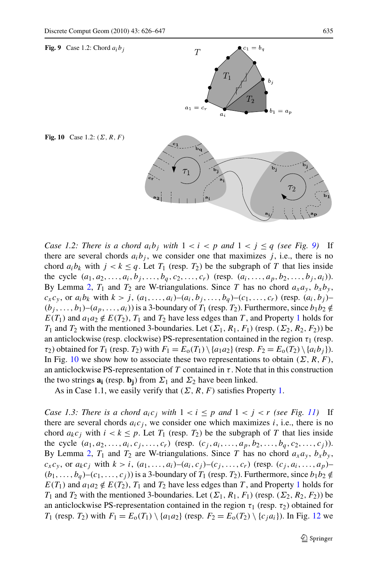

 $\overrightarrow{b_i}$ 





As in Case [1](#page-4-0).1, we easily verify that  $(\Sigma, R, F)$  satisfies Property 1.

<span id="page-9-0"></span>*Case 1.3: There is a chord*  $a_i c_j$  *with*  $1 < i \leq p$  *and*  $1 < j < r$  *(see Fig. [11\)](#page-10-0)* If there are several chords  $a_i c_j$ , we consider one which maximizes i, i.e., there is no chord  $a_k c_j$  with  $i < k \leq p$ . Let  $T_1$  (resp.  $T_2$ ) be the subgraph of T that lies inside the cycle  $(a_1, a_2, \ldots, a_i, c_j, \ldots, c_r)$  (resp.  $(c_j, a_i, \ldots, a_p, b_2, \ldots, b_q, c_2, \ldots, c_j)$ ). By Lemma [2](#page-4-0),  $T_1$  and  $T_2$  are W-triangulations. Since T has no chord  $a_x a_y$ ,  $b_x b_y$ ,  $c_x c_y$ , or  $a_k c_j$  with  $k > i$ ,  $(a_1, ..., a_i) - (a_i, c_j) - (c_j, ..., c_r)$  (resp.  $(c_j, a_i, ..., a_p) (b_1,\ldots,b_q)$ – $(c_1,\ldots,c_j)$ ) is a 3-boundary of  $T_1$  (resp.  $T_2$ ). Furthermore, since  $b_1b_2 \notin$  $E(T_1)$  $E(T_1)$  $E(T_1)$  and  $a_1a_2 \notin E(T_2)$ ,  $T_1$  and  $T_2$  have less edges than T, and Property 1 holds for  $T_1$  and  $T_2$  with the mentioned 3-boundaries. Let  $(\Sigma_1, R_1, F_1)$  (resp.  $(\Sigma_2, R_2, F_2)$ ) be an anticlockwise PS-representation contained in the region  $\tau_1$  (resp.  $\tau_2$ ) obtained for  $T_1$  (resp.  $T_2$ ) with  $F_1 = E_0(T_1) \setminus \{a_1 a_2\}$  (resp.  $F_2 = E_0(T_2) \setminus \{c_i a_i\}$ ). In Fig. [12](#page-10-0) we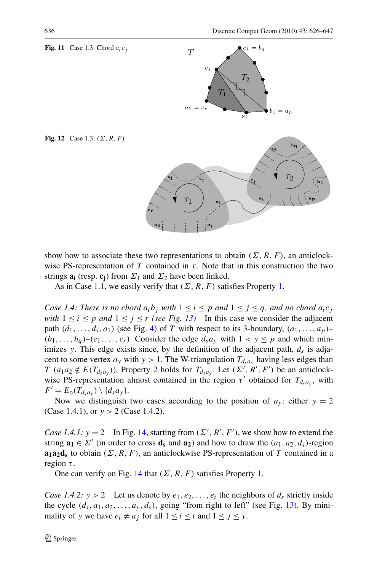

show how to associate these two representations to obtain  $(\Sigma, R, F)$ , an anticlockwise PS-representation of T contained in  $\tau$ . Note that in this construction the two strings  $\mathbf{a}_i$  (resp.  $\mathbf{c}_i$ ) from  $\Sigma_1$  and  $\Sigma_2$  have been linked.

As in Case [1](#page-4-0).1, we easily verify that  $(\Sigma, R, F)$  satisfies Property 1.

*Case 1.4: There is no chord*  $a_i b_j$  *with*  $1 \le i \le p$  *and*  $1 \le j \le q$ *, and no chord*  $a_i c_j$ *with*  $1 \le i \le p$  *and*  $1 \le j \le r$  *(see Fig. [13](#page-11-0))* In this case we consider the adjacent path  $(d_1, \ldots, d_s, a_1)$  (see Fig. [4\)](#page-6-0) of T with respect to its 3-boundary,  $(a_1, \ldots, a_p)$ - $(b_1,\ldots,b_q)$ – $(c_1,\ldots,c_r)$ . Consider the edge  $d_s a_v$  with  $1 < y \leq p$  and which minimizes y. This edge exists since, by the definition of the adjacent path,  $d_s$  is adjacent to some vertex  $a_y$  with  $y > 1$ . The W-triangulation  $T_{d_g}$  having less edges than T  $(a_1a_2 \notin E(T_{d_s a_y}))$  $(a_1a_2 \notin E(T_{d_s a_y}))$  $(a_1a_2 \notin E(T_{d_s a_y}))$ , Property 2 holds for  $T_{d_s a_y}$ . Let  $(\Sigma', R', F')$  be an anticlockwise PS-representation almost contained in the region  $\tau'$  obtained for  $T_{d,a_v}$ , with  $F' = E_{\rm o}(T_{d_s a_y}) \setminus \{d_s a_y\}.$ 

Now we distinguish two cases according to the position of  $a_y$ : either  $y = 2$ (Case 1.4.1), or  $y > 2$  (Case 1.4.2).

*Case 1.4.1:*  $y = 2$  In Fig. [14](#page-11-0), starting from  $(\Sigma', R', F')$ , we show how to extend the string  $\mathbf{a_1} \in \Sigma'$  (in order to cross  $\mathbf{d_s}$  and  $\mathbf{a_2}$ ) and how to draw the  $(a_1, a_2, d_s)$ -region **a<sub>1</sub>a<sub>2</sub>d<sub>s</sub>** to obtain  $(\Sigma, R, F)$ , an anticlockwise PS-representation of T contained in a region  $\tau$ .

One can verify on Fig. [14](#page-11-0) that  $(\Sigma, R, F)$  satisfies Property [1.](#page-4-0)

<span id="page-10-0"></span>*Case 1.4.2:*  $y > 2$  Let us denote by  $e_1, e_2, \ldots, e_t$  the neighbors of  $d_s$  strictly inside the cycle  $(d_s, a_1, a_2, \ldots, a_y, d_s)$ , going "from right to left" (see Fig. [13\)](#page-11-0). By minimality of y we have  $e_i \neq a_j$  for all  $1 \leq i \leq t$  and  $1 \leq j \leq y$ .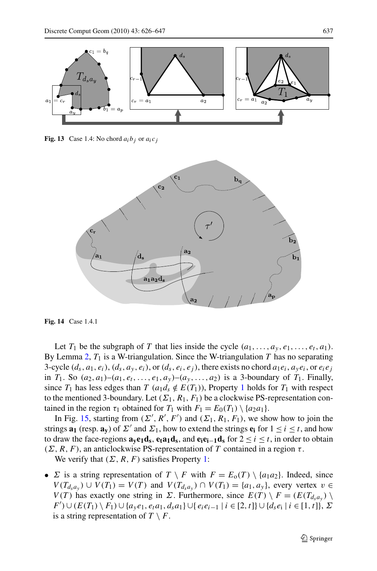

**Fig. 13** Case 1.4: No chord  $a_i b_i$  or  $a_i c_j$ 



**Fig. 14** Case 1.4.1

Let  $T_1$  be the subgraph of T that lies inside the cycle  $(a_1, \ldots, a_v, e_1, \ldots, e_t, a_1)$ . By Lemma [2,](#page-4-0)  $T_1$  is a W-triangulation. Since the W-triangulation T has no separating 3-cycle  $(d_s, a_1, e_i)$ ,  $(d_s, a_v, e_i)$ , or  $(d_s, e_i, e_j)$ , there exists no chord  $a_1e_i$ ,  $a_2e_i$ , or  $e_ie_i$ in  $T_1$ . So  $(a_2, a_1)$ – $(a_1, e_t, \ldots, e_1, a_v)$ – $(a_v, \ldots, a_2)$  is a 3-boundary of  $T_1$ . Finally, since  $T_1$  $T_1$  has less edges than  $T$  ( $a_1d_s \notin E(T_1)$ ), Property 1 holds for  $T_1$  with respect to the mentioned 3-boundary. Let  $(\Sigma_1, R_1, F_1)$  be a clockwise PS-representation contained in the region  $\tau_1$  obtained for  $T_1$  with  $F_1 = E_0(T_1) \setminus \{a_2a_1\}.$ 

In Fig. [15,](#page-12-0) starting from  $(\Sigma', R', F')$  and  $(\Sigma_1, R_1, F_1)$ , we show how to join the strings  $\mathbf{a}_1$  (resp.  $\mathbf{a}_v$ ) of  $\Sigma'$  and  $\Sigma_1$ , how to extend the strings  $\mathbf{e}_i$  for  $1 \le i \le t$ , and how to draw the face-regions  $\mathbf{a}_y \mathbf{e}_1 \mathbf{d}_s$ ,  $\mathbf{e}_t \mathbf{a}_1 \mathbf{d}_s$ , and  $\mathbf{e}_i \mathbf{e}_{i-1} \mathbf{d}_s$  for  $2 \le i \le t$ , in order to obtain  $(\Sigma, R, F)$ , an anticlockwise PS-representation of T contained in a region  $\tau$ .

We verify that  $(\Sigma, R, F)$  satisfies Property [1:](#page-4-0)

<span id="page-11-0"></span>•  $\Sigma$  is a string representation of  $T \setminus F$  with  $F = E_0(T) \setminus \{a_1a_2\}$ . Indeed, since  $V(T_{d_3a_y}) \cup V(T_1) = V(T)$  and  $V(T_{d_3a_y}) \cap V(T_1) = \{a_1, a_y\}$ , every vertex  $v \in$  $V(T)$  has exactly one string in  $\Sigma$ . Furthermore, since  $E(T) \setminus F = (E(T_{d, a_y}) \setminus F)$  $F'$ )∪( $E(T_1) \setminus F_1$ )∪{ $a_y e_1, e_t a_1, d_s a_1$ }∪{ $e_i e_{i-1} | i \in [2, t]$ }∪{ $d_s e_i | i \in [1, t]$ },  $\Sigma$ is a string representation of  $T \setminus F$ .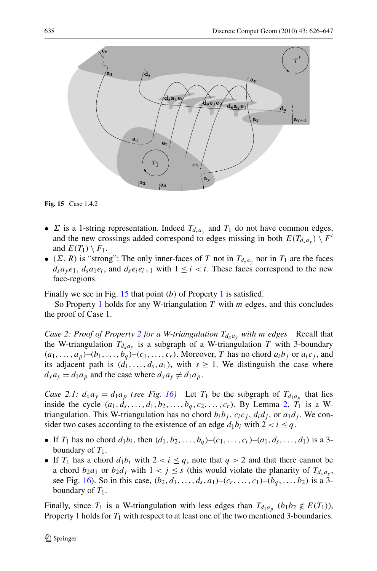

**Fig. 15** Case 1.4.2

- $\Sigma$  is a 1-string representation. Indeed  $T_{d_s a_v}$  and  $T_1$  do not have common edges, and the new crossings added correspond to edges missing in both  $E(T_{d,a_y}) \setminus F'$ and  $E(T_1) \setminus F_1$ .
- ( $\Sigma$ , R) is "strong": The only inner-faces of T not in  $T_{d,a_v}$  nor in  $T_1$  are the faces  $d_s a_y e_1$ ,  $d_s a_1 e_t$ , and  $d_s e_i e_{i+1}$  with  $1 \leq i \leq t$ . These faces correspond to the new face-regions.

Finally we see in Fig.  $15$  that point (b) of Property [1](#page-4-0) is satisfied.

So Property [1](#page-4-0) holds for any W-triangulation  $T$  with  $m$  edges, and this concludes the proof of Case 1.

*Case [2](#page-6-0): Proof of Property 2 for a W-triangulation*  $T_{d_x a_y}$  *with m edges* Recall that the W-triangulation  $T_{d_x a_y}$  is a subgraph of a W-triangulation T with 3-boundary  $(a_1,\ldots,a_p)-(b_1,\ldots,b_q)-(c_1,\ldots,c_r)$ . Moreover, T has no chord  $a_ib_j$  or  $a_ic_j$ , and its adjacent path is  $(d_1, \ldots, d_s, a_1)$ , with  $s \geq 1$ . We distinguish the case where  $d_x a_y = d_1 a_p$  and the case where  $d_x a_y \neq d_1 a_p$ .

*Case 2.1:*  $d_x a_y = d_1 a_p$  *(see Fig. [16\)](#page-13-0)* Let  $T_1$  be the subgraph of  $T_{d_1 a_p}$  that lies inside the cycle  $(a_1, d_s, ..., d_1, b_2, ..., b_q, c_2, ..., c_r)$  $(a_1, d_s, ..., d_1, b_2, ..., b_q, c_2, ..., c_r)$  $(a_1, d_s, ..., d_1, b_2, ..., b_q, c_2, ..., c_r)$ . By Lemma 2,  $T_1$  is a Wtriangulation. This W-triangulation has no chord  $b_i b_j$ ,  $c_i c_j$ ,  $d_i d_j$ , or  $a_1 d_j$ . We consider two cases according to the existence of an edge  $d_1b_i$  with  $2 < i \leq q$ .

- If  $T_1$  has no chord  $d_1b_i$ , then  $(d_1, b_2, ..., b_q)$ – $(c_1, ..., c_r)$ – $(a_1, d_s, ..., d_1)$  is a 3boundary of  $T_1$ .
- If  $T_1$  has a chord  $d_1b_i$  with  $2 < i \leq q$ , note that  $q > 2$  and that there cannot be a chord  $b_2a_1$  or  $b_2d_j$  with  $1 < j \leq s$  (this would violate the planarity of  $T_{d_xa_y}$ , see Fig. [16](#page-13-0)). So in this case,  $(b_2, d_1, \ldots, d_s, a_1)$ – $(c_r, \ldots, c_1)$ – $(b_q, \ldots, b_2)$  is a 3boundary of  $T_1$ .

<span id="page-12-0"></span>Finally, since  $T_1$  is a W-triangulation with less edges than  $T_{d_1a_n}$  (b<sub>1</sub>b<sub>2</sub>  $\notin E(T_1)$ ), Property [1](#page-4-0) holds for  $T_1$  with respect to at least one of the two mentioned 3-boundaries.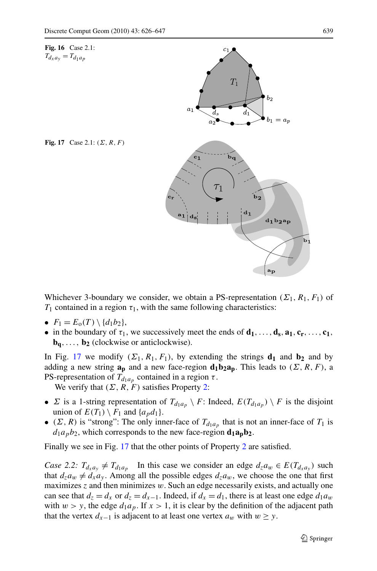

Whichever 3-boundary we consider, we obtain a PS-representation ( $\Sigma_1$ ,  $R_1$ ,  $F_1$ ) of  $T_1$  contained in a region  $\tau_1$ , with the same following characteristics:

- $F_1 = E_o(T) \setminus \{d_1b_2\},\,$
- in the boundary of  $\tau_1$ , we successively meet the ends of  $\mathbf{d}_1, \ldots, \mathbf{d}_s, \mathbf{a}_1, \mathbf{c}_r, \ldots, \mathbf{c}_1$ ,  **(clockwise or anticlockwise).**

In Fig. [17](#page-13-0) we modify  $(\Sigma_1, R_1, F_1)$ , by extending the strings  $\mathbf{d}_1$  and  $\mathbf{b}_2$  and by adding a new string  $\mathbf{a_p}$  and a new face-region  $\mathbf{d_1b_2a_p}$ . This leads to  $(\Sigma, R, F)$ , a PS-representation of  $T_{d_1a_n}$  contained in a region  $\tau$ .

We verify that  $(\Sigma, R, F)$  satisfies Property [2:](#page-6-0)

- $\Sigma$  is a 1-string representation of  $T_{d_1a_p} \setminus F$ : Indeed,  $E(T_{d_1a_p}) \setminus F$  is the disjoint union of  $E(T_1) \setminus F_1$  and  $\{a_p d_1\}$ .
- ( $\Sigma$ , R) is "strong": The only inner-face of  $T_{d_1a_p}$  that is not an inner-face of  $T_1$  is  $d_1a_pb_2$ , which corresponds to the new face-region  $d_1a_pb_2$ .

Finally we see in Fig. [17](#page-13-0) that the other points of Property [2](#page-6-0) are satisfied.

<span id="page-13-0"></span>*Case 2.2:*  $T_{d_x a_y} \neq T_{d_1 a_p}$  In this case we consider an edge  $d_z a_w \in E(T_{d_x a_y})$  such that  $d_z a_w \neq d_x a_y$ . Among all the possible edges  $d_z a_w$ , we choose the one that first maximizes  $z$  and then minimizes  $w$ . Such an edge necessarily exists, and actually one can see that  $d_z = d_x$  or  $d_z = d_{x-1}$ . Indeed, if  $d_x = d_1$ , there is at least one edge  $d_1a_w$ with  $w > y$ , the edge  $d_1a_p$ . If  $x > 1$ , it is clear by the definition of the adjacent path that the vertex  $d_{x-1}$  is adjacent to at least one vertex  $a_w$  with  $w \ge y$ .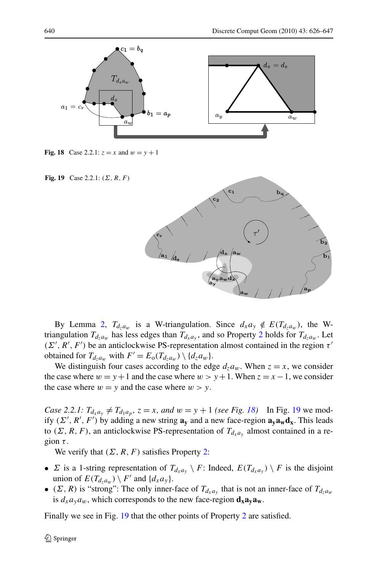

**Fig. 18** Case 2.2.1:  $z = x$  and  $w = y + 1$ 

**Fig. 19** Case 2.2.1:  $(\Sigma, R, F)$ 



By Lemma [2](#page-4-0),  $T_{d_2a_w}$  is a W-triangulation. Since  $d_x a_y \notin E(T_{d_2a_w})$ , the Wtriangulation  $T_{d_7a_w}$  has less edges than  $T_{d_xa_v}$ , and so Property [2](#page-6-0) holds for  $T_{d_7a_w}$ . Let  $(\Sigma', R', F')$  be an anticlockwise PS-representation almost contained in the region  $\tau'$ obtained for  $T_{d_za_w}$  with  $F' = E_o(T_{d_za_w}) \setminus \{d_za_w\}.$ 

We distinguish four cases according to the edge  $d_7a_w$ . When  $z = x$ , we consider the case where  $w = y + 1$  and the case where  $w > y + 1$ . When  $z = x - 1$ , we consider the case where  $w = y$  and the case where  $w > y$ .

*Case 2.2.1:*  $T_{d_x a_y} \neq T_{d_1 a_p}$ ,  $z = x$ , and  $w = y + 1$  *(see Fig. [18\)](#page-14-0)* In Fig. [19](#page-14-0) we modify  $(\Sigma', R', F')$  by adding a new string  $\mathbf{a}_y$  and a new face-region  $\mathbf{a}_y \mathbf{a}_w \mathbf{d}_x$ . This leads to  $(\Sigma, R, F)$ , an anticlockwise PS-representation of  $T_{d_x a_y}$  almost contained in a region  $\tau$ .

We verify that  $(\Sigma, R, F)$  satisfies Property [2:](#page-6-0)

- $\Sigma$  is a 1-string representation of  $T_{d_x a_y} \setminus F$ : Indeed,  $E(T_{d_x a_y}) \setminus F$  is the disjoint union of  $E(T_{d_za_w}) \setminus F'$  and  $\{d_xa_y\}$ .
- ( $\Sigma$ , R) is "strong": The only inner-face of  $T_{d_x a_y}$  that is not an inner-face of  $T_{d_x a_w}$ is  $d_x a_y a_w$ , which corresponds to the new face-region  $d_x a_y a_w$ .

<span id="page-14-0"></span>Finally we see in Fig. [19](#page-14-0) that the other points of Property [2](#page-6-0) are satisfied.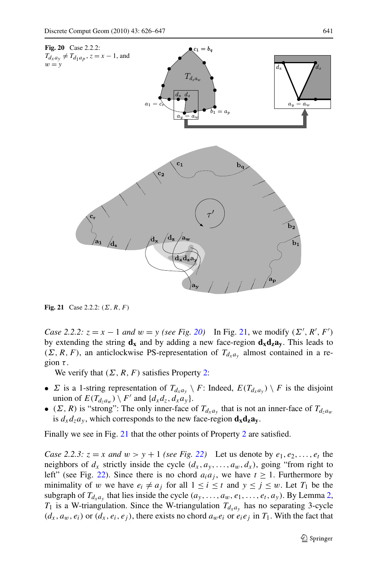

**Fig. 21** Case 2.2.2:  $(\Sigma, R, F)$ 

*Case 2.2.2:*  $z = x - 1$  *and*  $w = y$  *(see Fig. [20](#page-15-0))* In Fig. [21,](#page-15-0) we modify  $(\Sigma', R', F')$ by extending the string  $d_x$  and by adding a new face-region  $d_x d_z a_y$ . This leads to  $(\Sigma, R, F)$ , an anticlockwise PS-representation of  $T_{d_x a_y}$  almost contained in a region  $\tau$ .

We verify that  $(\Sigma, R, F)$  satisfies Property [2:](#page-6-0)

- $\Sigma$  is a 1-string representation of  $T_{d_x a_y} \setminus F$ : Indeed,  $E(T_{d_x a_y}) \setminus F$  is the disjoint union of  $E(T_{d_za_w}) \setminus F'$  and  $\{d_xd_z, d_xa_y\}.$
- ( $\Sigma$ , R) is "strong": The only inner-face of  $T_{d_x a_y}$  that is not an inner-face of  $T_{d_x a_w}$ is  $d_x d_z a_y$ , which corresponds to the new face-region  $d_x d_z a_y$ .

Finally we see in Fig. [21](#page-15-0) that the other points of Property [2](#page-6-0) are satisfied.

<span id="page-15-0"></span>*Case 2.2.3:*  $z = x$  *and*  $w > y + 1$  *(see Fig. [22\)](#page-16-0)* Let us denote by  $e_1, e_2, ..., e_t$  the neighbors of  $d_x$  strictly inside the cycle  $(d_x, a_y, \ldots, a_w, d_x)$ , going "from right to left" (see Fig. [22](#page-16-0)). Since there is no chord  $a_i a_j$ , we have  $t \ge 1$ . Furthermore by minimality of w we have  $e_i \neq a_j$  for all  $1 \leq i \leq t$  and  $y \leq j \leq w$ . Let  $T_1$  be the subgraph of  $T_{d_x a_y}$  that lies inside the cycle  $(a_y, \ldots, a_w, e_1, \ldots, e_t, a_y)$ . By Lemma [2](#page-4-0),  $T_1$  is a W-triangulation. Since the W-triangulation  $T_{d_x a_y}$  has no separating 3-cycle  $(d_x, a_y, e_i)$  or  $(d_x, e_i, e_j)$ , there exists no chord  $a_y e_i$  or  $e_i e_j$  in  $T_1$ . With the fact that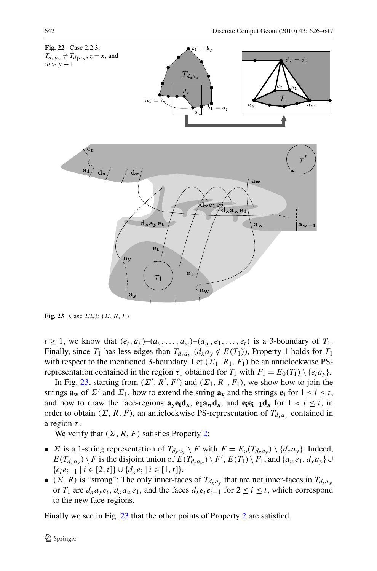

**Fig. 23** Case 2.2.3:  $(\Sigma, R, F)$ 

 $t \geq 1$ , we know that  $(e_t, a_y)$ – $(a_y, \ldots, a_w)$ – $(a_w, e_1, \ldots, e_t)$  is a 3-boundary of  $T_1$ . Finally, since  $T_1$  has less edges than  $T_{d_x a_y}$  ( $d_x a_y \notin E(T_1)$ ), Property 1 holds for  $T_1$ with respect to the mentioned 3-boundary. Let  $(\Sigma_1, R_1, F_1)$  be an anticlockwise PSrepresentation contained in the region  $\tau_1$  obtained for  $T_1$  with  $F_1 = E_0(T_1) \setminus \{e_i a_y\}$ .

In Fig. [23,](#page-16-0) starting from  $(\Sigma', R', F')$  and  $(\Sigma_1, R_1, F_1)$ , we show how to join the strings  $\mathbf{a_w}$  of  $\Sigma'$  and  $\Sigma_1$ , how to extend the string  $\mathbf{a_v}$  and the strings  $\mathbf{e_i}$  for  $1 \le i \le t$ , and how to draw the face-regions  $\mathbf{a}_y \mathbf{e}_t \mathbf{d}_x$ ,  $\mathbf{e}_1 \mathbf{a}_w \mathbf{d}_x$ , and  $\mathbf{e}_i \mathbf{e}_{i-1} \mathbf{d}_x$  for  $1 < i \leq t$ , in order to obtain ( $\Sigma$ , R, F), an anticlockwise PS-representation of  $T_{d_x a_y}$  contained in a region  $\tau$ .

We verify that  $(\Sigma, R, F)$  satisfies Property [2:](#page-6-0)

- $\Sigma$  is a 1-string representation of  $T_{d_x a_y} \setminus F$  with  $F = E_0(T_{d_x a_y}) \setminus \{d_x a_y\}$ : Indeed,  $E(T_{d_xa_y})\setminus F$  is the disjoint union of  $E(T_{d_za_w})\setminus F', E(T_1)\setminus F_1$ , and  $\{a_we_1, d_xa_y\} \cup$  ${e_i e_{i-1} \mid i \in [2, t] \cup \{d_x e_i \mid i \in [1, t]\}.$
- ( $\Sigma$ , R) is "strong": The only inner-faces of  $T_{d_x a_y}$  that are not inner-faces in  $T_{d_x a_y}$ or  $T_1$  are  $d_x a_y e_t$ ,  $d_x a_w e_1$ , and the faces  $d_x e_i e_{i-1}$  for  $2 \le i \le t$ , which correspond to the new face-regions.

<span id="page-16-0"></span>Finally we see in Fig. [23](#page-16-0) that the other points of Property [2](#page-6-0) are satisfied.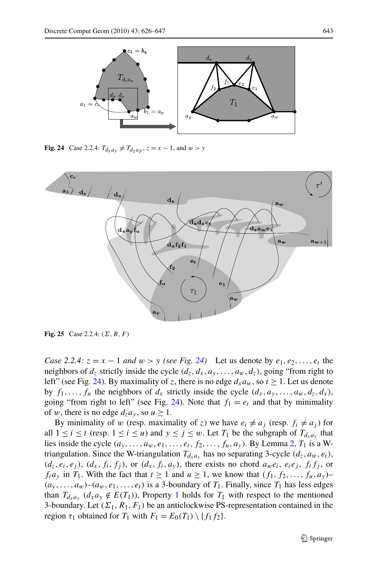

**Fig. 24** Case 2.2.4:  $T_{d_x a_y} \neq T_{d_1 a_p}$ ,  $z = x - 1$ , and  $w > y$ 



**Fig. 25** Case 2.2.4:  $(\Sigma, R, F)$ 

*Case 2.2.4:*  $z = x - 1$  *and*  $w > y$  *(see Fig. [24\)](#page-17-0)* Let us denote by  $e_1, e_2, \ldots, e_t$  the neighbors of  $d_z$  strictly inside the cycle  $(d_z, d_x, a_y, \ldots, a_w, d_z)$ , going "from right to left" (see Fig. [24](#page-17-0)). By maximality of z, there is no edge  $d_x a_w$ , so  $t \ge 1$ . Let us denote by  $f_1, \ldots, f_u$  the neighbors of  $d_x$  strictly inside the cycle  $(d_x, a_y, \ldots, a_w, d_z, d_x)$ , going "from right to left" (see Fig. [24\)](#page-17-0). Note that  $f_1 = e_t$  and that by minimality of w, there is no edge  $d_7a_y$ , so  $u \ge 1$ .

<span id="page-17-0"></span>By minimality of w (resp. maximality of z) we have  $e_i \neq a_j$  (resp.  $f_i \neq a_j$ ) for all  $1 \le i \le t$  (resp.  $1 \le i \le u$ ) and  $y \le j \le w$ . Let  $T_1$  be the subgraph of  $T_{d_x a_y}$  that lies inside the cycle  $(a_y, \ldots, a_w, e_1, \ldots, e_t, f_2, \ldots, f_u, a_y)$  $(a_y, \ldots, a_w, e_1, \ldots, e_t, f_2, \ldots, f_u, a_y)$  $(a_y, \ldots, a_w, e_1, \ldots, e_t, f_2, \ldots, f_u, a_y)$ . By Lemma 2,  $T_1$  is a Wtriangulation. Since the W-triangulation  $T_{d_x a_y}$  has no separating 3-cycle  $(d_z, a_w, e_i)$ ,  $(d_z, e_i, e_j)$ ,  $(d_x, f_i, f_j)$ , or  $(d_x, f_i, a_y)$ , there exists no chord  $a_w e_i$ ,  $e_i e_j$ ,  $f_i f_j$ , or  $f_i a_y$  in  $T_1$ . With the fact that  $t \ge 1$  and  $u \ge 1$ , we know that  $(f_1, f_2, \ldots, f_u, a_y)$  $(a_y, \ldots, a_w)$ – $(a_w, e_1, \ldots, e_t)$  is a 3-boundary of  $T_1$ . Finally, since  $T_1$  has less edges than  $T_{d_x a_y}$  ( $d_x a_y \notin E(T_1)$  $d_x a_y \notin E(T_1)$  $d_x a_y \notin E(T_1)$ ), Property 1 holds for  $T_1$  with respect to the mentioned 3-boundary. Let  $(\Sigma_1, R_1, F_1)$  be an anticlockwise PS-representation contained in the region  $\tau_1$  obtained for  $T_1$  with  $F_1 = E_0(T_1) \setminus \{f_1, f_2\}.$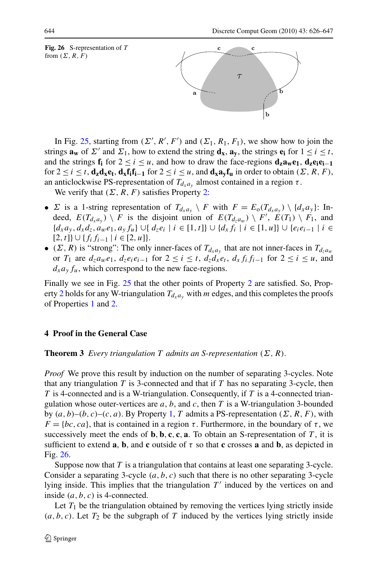



In Fig. [25,](#page-17-0) starting from  $(\Sigma', R', F')$  and  $(\Sigma_1, R_1, F_1)$ , we show how to join the strings  $\mathbf{a_w}$  of  $\Sigma'$  and  $\Sigma_1$ , how to extend the string  $\mathbf{d_x}$ ,  $\mathbf{a_v}$ , the strings  $\mathbf{e_i}$  for  $1 \le i \le t$ , and the strings  $f_i$  for  $2 \le i \le u$ , and how to draw the face-regions  $d_z a_w e_1$ ,  $d_z e_i e_{i-1}$ for  $2 \le i \le t$ , **d<sub>z</sub>d<sub>x</sub>e**<sub>t</sub>, **d**<sub>x</sub>**f**<sub>i</sub>**f**<sub>i-1</sub> for  $2 \le i \le u$ , and **d**<sub>x</sub>**a**<sub>v</sub>**f**<sub>u</sub> in order to obtain (Σ, R, F), an anticlockwise PS-representation of  $T_{d_x a_y}$  almost contained in a region  $\tau$ .

We verify that  $(\Sigma, R, F)$  satisfies Property [2:](#page-6-0)

- $\Sigma$  is a 1-string representation of  $T_{d_x a_y} \setminus F$  with  $F = E_0(T_{d_x a_y}) \setminus \{d_x a_y\}$ : Indeed,  $E(T_{d_x a_y}) \setminus F$  is the disjoint union of  $E(T_{d_z a_w}) \setminus F'$ ,  $E(T_1) \setminus F_1$ , and  ${d_x a_y, d_x d_z, a_w e_1, a_y f_u} \cup {d_z e_i | i ∈ [1, t]} \cup {d_x f_i | i ∈ [1, u]} \cup {e_i e_{i-1} | i ∈ [1, t]}$  $[2, t] \cup \{f_i f_{i-1} \mid i \in [2, u]\}.$
- ( $\Sigma$ , R) is "strong": The only inner-faces of  $T_{d_x a_y}$  that are not inner-faces in  $T_{d_z a_y}$ or  $T_1$  are  $d_z a_w e_1$ ,  $d_z e_i e_{i-1}$  for  $2 \le i \le t$ ,  $d_z d_x e_t$ ,  $d_x f_i f_{i-1}$  for  $2 \le i \le u$ , and  $d_x a_y f_u$ , which correspond to the new face-regions.

Finally we see in Fig. [25](#page-17-0) that the other points of Property [2](#page-6-0) are satisfied. So, Prop-erty [2](#page-6-0) holds for any W-triangulation  $T_{d_x a_y}$  with m edges, and this completes the proofs of Properties [1](#page-4-0) and [2.](#page-6-0)

## **4 Proof in the General Case**

**Theorem 3** *Every triangulation* T *admits an S-representation*  $(\Sigma, R)$ *.* 

*Proof* We prove this result by induction on the number of separating 3-cycles. Note that any triangulation  $T$  is 3-connected and that if  $T$  has no separating 3-cycle, then  $T$  is 4-connected and is a W-triangulation. Consequently, if  $T$  is a 4-connected triangulation whose outer-vertices are  $a, b$ , and  $c$ , then  $T$  is a W-triangulation 3-bounded by  $(a, b)$ – $(b, c)$ – $(c, a)$ . By Property [1,](#page-4-0) T admits a PS-representation  $(\Sigma, R, F)$ , with  $F = \{bc, ca\}$ , that is contained in a region  $\tau$ . Furthermore, in the boundary of  $\tau$ , we successively meet the ends of  $\bf{b}, \bf{b}, \bf{c}, \bf{c}, \bf{a}$ . To obtain an S-representation of T, it is sufficient to extend **a**, **b**, and **c** outside of  $\tau$  so that **c** crosses **a** and **b**, as depicted in Fig. [26](#page-18-0).

Suppose now that  $T$  is a triangulation that contains at least one separating 3-cycle. Consider a separating 3-cycle  $(a, b, c)$  such that there is no other separating 3-cycle lying inside. This implies that the triangulation  $T'$  induced by the vertices on and inside  $(a, b, c)$  is 4-connected.

<span id="page-18-0"></span>Let  $T_1$  be the triangulation obtained by removing the vertices lying strictly inside  $(a, b, c)$ . Let  $T_2$  be the subgraph of T induced by the vertices lying strictly inside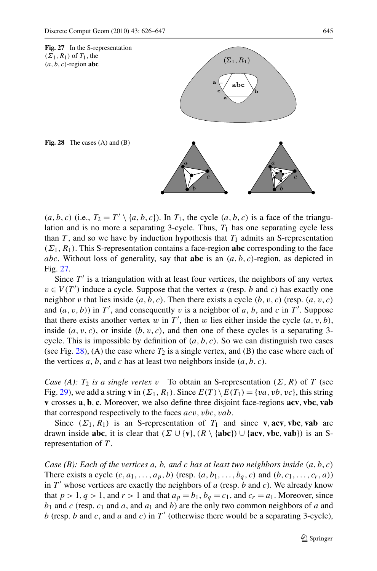

 $(a, b, c)$  (i.e.,  $T_2 = T' \setminus \{a, b, c\}$ ). In  $T_1$ , the cycle  $(a, b, c)$  is a face of the triangulation and is no more a separating 3-cycle. Thus,  $T_1$  has one separating cycle less than  $T$ , and so we have by induction hypothesis that  $T_1$  admits an S-representation  $(\Sigma_1, R_1)$ . This S-representation contains a face-region **abc** corresponding to the face abc. Without loss of generality, say that **abc** is an  $(a, b, c)$ -region, as depicted in Fig. [27](#page-19-0).

Since  $T'$  is a triangulation with at least four vertices, the neighbors of any vertex  $v \in V(T')$  induce a cycle. Suppose that the vertex a (resp. b and c) has exactly one neighbor v that lies inside  $(a, b, c)$ . Then there exists a cycle  $(b, v, c)$  (resp.  $(a, v, c)$ ) and  $(a, v, b)$  in T', and consequently v is a neighbor of a, b, and c in T'. Suppose that there exists another vertex w in T', then w lies either inside the cycle  $(a, v, b)$ , inside  $(a, v, c)$ , or inside  $(b, v, c)$ , and then one of these cycles is a separating 3cycle. This is impossible by definition of  $(a, b, c)$ . So we can distinguish two cases (see Fig. [28](#page-19-0)), (A) the case where  $T_2$  is a single vertex, and (B) the case where each of the vertices a, b, and c has at least two neighbors inside  $(a, b, c)$ .

*Case (A):*  $T_2$  *is a single vertex* v To obtain an S-representation  $(\Sigma, R)$  of T (see Fig. [29\)](#page-20-0), we add a string **v** in  $(\Sigma_1, R_1)$ . Since  $E(T) \setminus E(T_1) = \{va, vb, vc\}$ , this string **v** crosses **a**,**b**, **c**. Moreover, we also define three disjoint face-regions **acv**, **vbc**, **vab** that correspond respectively to the faces  $acv$ ,  $vbc$ ,  $vab$ .

Since  $(\Sigma_1, R_1)$  is an S-representation of  $T_1$  and since **v**, acv, **vbc**, **vab** are drawn inside **abc**, it is clear that  $(\Sigma \cup \{v\}, (R \setminus \{abc\}) \cup \{acv, vbc, vab\})$  is an Srepresentation of T .

<span id="page-19-0"></span>*Case (B): Each of the vertices* a*,* b*, and* c *has at least two neighbors inside* (a, b, c) There exists a cycle  $(c, a_1, \ldots, a_p, b)$  (resp.  $(a, b_1, \ldots, b_q, c)$  and  $(b, c_1, \ldots, c_r, a)$ ) in  $T'$  whose vertices are exactly the neighbors of a (resp. b and c). We already know that  $p > 1$ ,  $q > 1$ , and  $r > 1$  and that  $a_p = b_1$ ,  $b_q = c_1$ , and  $c_r = a_1$ . Moreover, since  $b_1$  and c (resp.  $c_1$  and a, and  $a_1$  and b) are the only two common neighbors of a and b (resp. b and c, and a and c) in T' (otherwise there would be a separating 3-cycle),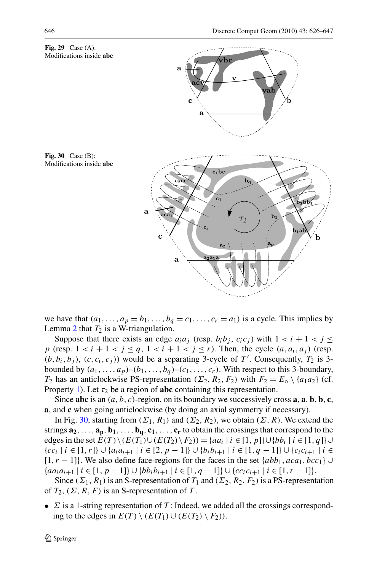

we have that  $(a_1, \ldots, a_p = b_1, \ldots, b_q = c_1, \ldots, c_r = a_1)$  is a cycle. This implies by Lemma [2](#page-4-0) that  $T_2$  is a W-triangulation.

Suppose that there exists an edge  $a_i a_j$  (resp.  $b_i b_j$ ,  $c_i c_j$ ) with  $1 < i + 1 < j \leq$ p (resp.  $1 < i + 1 < j \le q$ ,  $1 < i + 1 < j \le r$ ). Then, the cycle  $(a, a_i, a_j)$  (resp.  $(b, b_i, b_j)$ ,  $(c, c_i, c_j)$  would be a separating 3-cycle of T'. Consequently,  $T_2$  is 3bounded by  $(a_1, \ldots, a_p)$ – $(b_1, \ldots, b_q)$ – $(c_1, \ldots, c_r)$ . With respect to this 3-boundary,  $T_2$  has an anticlockwise PS-representation  $(\Sigma_2, R_2, F_2)$  with  $F_2 = E_0 \setminus \{a_1 a_2\}$  (cf. Property [1\)](#page-4-0). Let  $\tau_2$  be a region of **abc** containing this representation.

Since **abc** is an  $(a, b, c)$ -region, on its boundary we successively cross **a**, **a**, **b**, **b**, **c**, **a**, and **c** when going anticlockwise (by doing an axial symmetry if necessary).

In Fig. [30,](#page-20-0) starting from  $(\Sigma_1, R_1)$  and  $(\Sigma_2, R_2)$ , we obtain  $(\Sigma, R)$ . We extend the strings  $\mathbf{a}_2, \ldots, \mathbf{a}_p, \mathbf{b}_1, \ldots, \mathbf{b}_q, \mathbf{c}_1, \ldots, \mathbf{c}_r$  to obtain the crossings that correspond to the edges in the set  $E(T) \setminus (E(T_1) \cup (E(T_2) \setminus F_2)) = \{aa_i \mid i \in [1, p]\} \cup \{bb_i \mid i \in [1, q]\} \cup$  ${cc_i | i ∈ [1, r]} \cup {a_i a_{i+1} | i ∈ [2, p-1]} \cup {b_i b_{i+1} | i ∈ [1, q-1]} \cup {c_i c_{i+1} | i ∈ [1, r]}$ [1,  $r - 1$ ]. We also define face-regions for the faces in the set  $\{abb_1, aca_1, bcc_1\}$ { $aa_i a_{i+1} | i ∈ [1, p-1]$ } ∪ { $bb_i b_{i+1} | i ∈ [1, q-1]$ } ∪ { $cc_i c_{i+1} | i ∈ [1, r-1]$ }.

Since ( $\Sigma_1$ ,  $R_1$ ) is an S-representation of  $T_1$  and ( $\Sigma_2$ ,  $R_2$ ,  $F_2$ ) is a PS-representation of  $T_2$ ,  $(\Sigma, R, F)$  is an S-representation of T.

<span id="page-20-0"></span>•  $\Sigma$  is a 1-string representation of T: Indeed, we added all the crossings corresponding to the edges in  $E(T) \setminus (E(T_1) \cup (E(T_2) \setminus F_2)).$